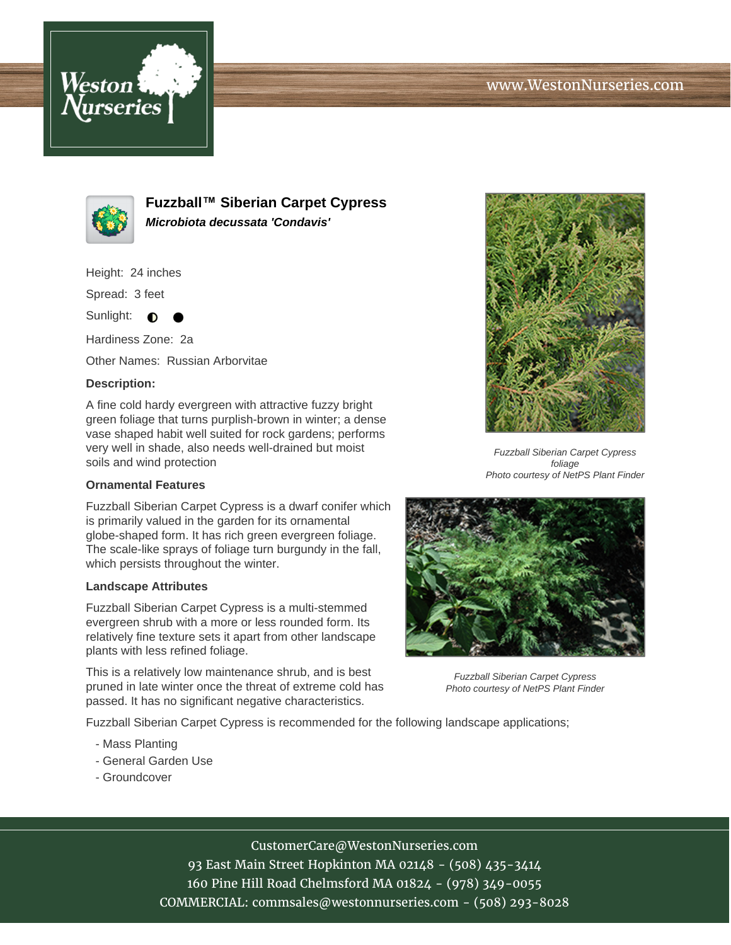



**Fuzzball™ Siberian Carpet Cypress Microbiota decussata 'Condavis'**

Height: 24 inches

Spread: 3 feet

Sunlight:  $\bigcirc$ 

Hardiness Zone: 2a

Other Names: Russian Arborvitae

## **Description:**

A fine cold hardy evergreen with attractive fuzzy bright green foliage that turns purplish-brown in winter; a dense vase shaped habit well suited for rock gardens; performs very well in shade, also needs well-drained but moist soils and wind protection

## **Ornamental Features**

Fuzzball Siberian Carpet Cypress is a dwarf conifer which is primarily valued in the garden for its ornamental globe-shaped form. It has rich green evergreen foliage. The scale-like sprays of foliage turn burgundy in the fall, which persists throughout the winter.

## **Landscape Attributes**

Fuzzball Siberian Carpet Cypress is a multi-stemmed evergreen shrub with a more or less rounded form. Its relatively fine texture sets it apart from other landscape plants with less refined foliage.

This is a relatively low maintenance shrub, and is best pruned in late winter once the threat of extreme cold has passed. It has no significant negative characteristics.

Fuzzball Siberian Carpet Cypress is recommended for the following landscape applications;

- Mass Planting
- General Garden Use
- Groundcover



Fuzzball Siberian Carpet Cypress foliage Photo courtesy of NetPS Plant Finder



Fuzzball Siberian Carpet Cypress Photo courtesy of NetPS Plant Finder

CustomerCare@WestonNurseries.com

93 East Main Street Hopkinton MA 02148 - (508) 435-3414 160 Pine Hill Road Chelmsford MA 01824 - (978) 349-0055 COMMERCIAL: commsales@westonnurseries.com - (508) 293-8028